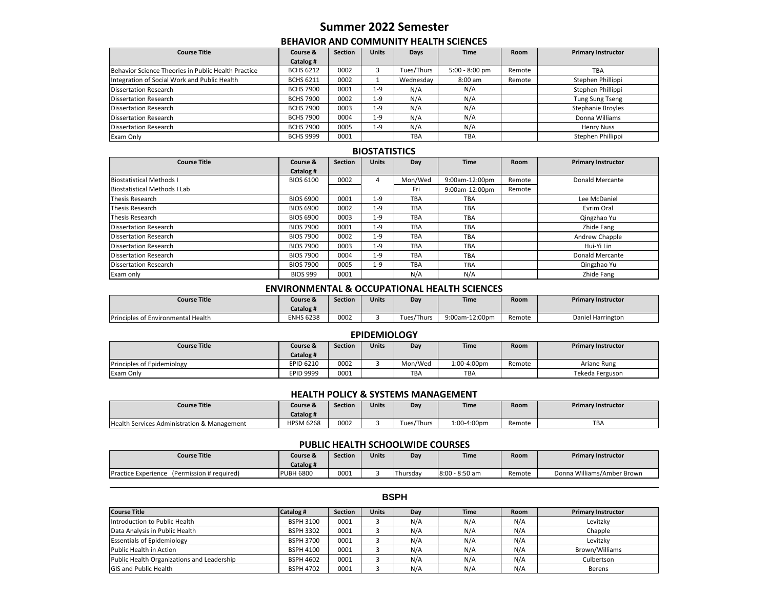# **Summer 2022 Semester**

## **BEHAVIOR AND COMMUNITY HEALTH SCIENCES**

| <b>Course Title</b>                                 | Course &         | <b>Section</b> | <b>Units</b> | Days       | <b>Time</b>      | <b>Room</b> | <b>Primary Instructor</b> |
|-----------------------------------------------------|------------------|----------------|--------------|------------|------------------|-------------|---------------------------|
|                                                     | Catalog #        |                |              |            |                  |             |                           |
| Behavior Science Theories in Public Health Practice | <b>BCHS 6212</b> | 0002           |              | Tues/Thurs | $5:00 - 8:00$ pm | Remote      | <b>TBA</b>                |
| Integration of Social Work and Public Health        | <b>BCHS 6211</b> | 0002           |              | Wednesday  | $8:00$ am        | Remote      | Stephen Phillippi         |
| <b>Dissertation Research</b>                        | <b>BCHS 7900</b> | 0001           | $1 - 9$      | N/A        | N/A              |             | Stephen Phillippi         |
| Dissertation Research                               | <b>BCHS 7900</b> | 0002           | $1 - 9$      | N/A        | N/A              |             | <b>Tung Sung Tseng</b>    |
| <b>Dissertation Research</b>                        | <b>BCHS 7900</b> | 0003           | $1 - 9$      | N/A        | N/A              |             | <b>Stephanie Broyles</b>  |
| Dissertation Research                               | <b>BCHS 7900</b> | 0004           | $1 - 9$      | N/A        | N/A              |             | Donna Williams            |
| Dissertation Research                               | <b>BCHS 7900</b> | 0005           | $1 - 9$      | N/A        | N/A              |             | <b>Henry Nuss</b>         |
| Exam Only                                           | <b>BCHS 9999</b> | 0001           |              | <b>TBA</b> | <b>TBA</b>       |             | Stephen Phillippi         |

## **BIOSTATISTICS**

| <b>Course Title</b>                 | Course &         | <b>Section</b> | <b>Units</b> | Day        | <b>Time</b>    | Room   | <b>Primary Instructor</b> |
|-------------------------------------|------------------|----------------|--------------|------------|----------------|--------|---------------------------|
|                                     | Catalog #        |                |              |            |                |        |                           |
| <b>Biostatistical Methods I</b>     | <b>BIOS 6100</b> | 0002           | 4            | Mon/Wed    | 9:00am-12:00pm | Remote | <b>Donald Mercante</b>    |
| <b>Biostatistical Methods I Lab</b> |                  |                |              | Fri        | 9:00am-12:00pm | Remote |                           |
| <b>Thesis Research</b>              | <b>BIOS 6900</b> | 0001           | $1 - 9$      | <b>TBA</b> | <b>TBA</b>     |        | Lee McDaniel              |
| <b>Thesis Research</b>              | <b>BIOS 6900</b> | 0002           | $1 - 9$      | TBA        | <b>TBA</b>     |        | Evrim Oral                |
| Thesis Research                     | <b>BIOS 6900</b> | 0003           | $1 - 9$      | <b>TBA</b> | <b>TBA</b>     |        | Qingzhao Yu               |
| <b>Dissertation Research</b>        | <b>BIOS 7900</b> | 0001           | $1 - 9$      | <b>TBA</b> | <b>TBA</b>     |        | Zhide Fang                |
| <b>Dissertation Research</b>        | <b>BIOS 7900</b> | 0002           | $1 - 9$      | <b>TBA</b> | <b>TBA</b>     |        | Andrew Chapple            |
| <b>Dissertation Research</b>        | <b>BIOS 7900</b> | 0003           | $1 - 9$      | <b>TBA</b> | <b>TBA</b>     |        | Hui-Yi Lin                |
| <b>Dissertation Research</b>        | <b>BIOS 7900</b> | 0004           | $1 - 9$      | <b>TBA</b> | <b>TBA</b>     |        | <b>Donald Mercante</b>    |
| <b>Dissertation Research</b>        | <b>BIOS 7900</b> | 0005           | $1 - 9$      | <b>TBA</b> | <b>TBA</b>     |        | Qingzhao Yu               |
| Exam only                           | <b>BIOS 999</b>  | 0001           |              | N/A        | N/A            |        | Zhide Fang                |

## **ENVIRONMENTAL & OCCUPATIONAL HEALTH SCIENCES**

| <b>Course Title</b>                       | Course &<br>Catalog # | <b>Section</b> | <b>Units</b> | Dav        | <b>Time</b>    | <b>Room</b> | <b>Primary Instructor</b> |
|-------------------------------------------|-----------------------|----------------|--------------|------------|----------------|-------------|---------------------------|
| <b>Principles of Environmental Health</b> | <b>ENHS 6238</b>      | 0002           |              | Tues/Thurs | 9:00am-12:00pm | Remote      | Daniel Harrington         |

## **EPIDEMIOLOGY**

| Course Title               | Course &  | <b>Section</b> | <b>Units</b> | Day        | <b>Time</b> | Room   | <b>Primary Instructor</b> |
|----------------------------|-----------|----------------|--------------|------------|-------------|--------|---------------------------|
|                            | Catalog # |                |              |            |             |        |                           |
| Principles of Epidemiology | EPID 6210 | 0002           |              | Mon/Wed    | 1:00-4:00pm | Remote | Ariane Rung               |
| Exam Only                  | EPID 9999 | 0001           |              | <b>TBA</b> | <b>TBA</b>  |        | Tekeda Ferguson           |

# **HEALTH POLICY & SYSTEMS MANAGEMENT**

| Course Title                                           | Course &<br>Catalog# | Section | Units | Dav                    | Time        | <b>Room</b> | <b>Primary Instructor</b> |
|--------------------------------------------------------|----------------------|---------|-------|------------------------|-------------|-------------|---------------------------|
| <b>Health Services Administration &amp; Management</b> | <b>HPSM 6268</b>     | 0002    |       | ues/Thurs <sup>.</sup> | 1:00-4:00pm | Remote      | <b>TBA</b>                |

#### **PUBLIC HEALTH SCHOOLWIDE COURSES**

| <b>Course Title</b>                                   | Course &<br>Catalog # | <b>Section</b> | Units | Dav      | Time           | Room   | <b>Primary Instructor</b>  |
|-------------------------------------------------------|-----------------------|----------------|-------|----------|----------------|--------|----------------------------|
| <b>Practice Experience</b><br>(Permission # required) | <b>PUBH 6800</b>      | 0001           |       | Thursdav | 8:00 - 8:50 am | Remote | Donna Williams/Amber Brown |

#### **Course Title Catalog # Section Units Day Time Room Primary Instructor** Introduction to Public Health **BSPH 3100** 0001 3 N/A N/A N/A Levitzky Data Analysis in Public Health **BEALT Chapple BSPH 3302** | 0001 | 3 | N/A | N/A | N/A | Chapple Essentials of Epidemiology **BSPH 3700** 0001 3 N/A N/A N/A N/A Levitzky Public Health in Action **BSPH 4100** 0001 3 N/A N/A N/A Brown/Williams Public Health Organizations and Leadership **BSPH 4602** 0001 3 N/A N/A N/A N/A Culbertson GIS and Public Health **BREER CONTENT ASSETS** OF A NOTE 1 A NOTE 1 A N/A N/A N/A Berens

## **BSPH**